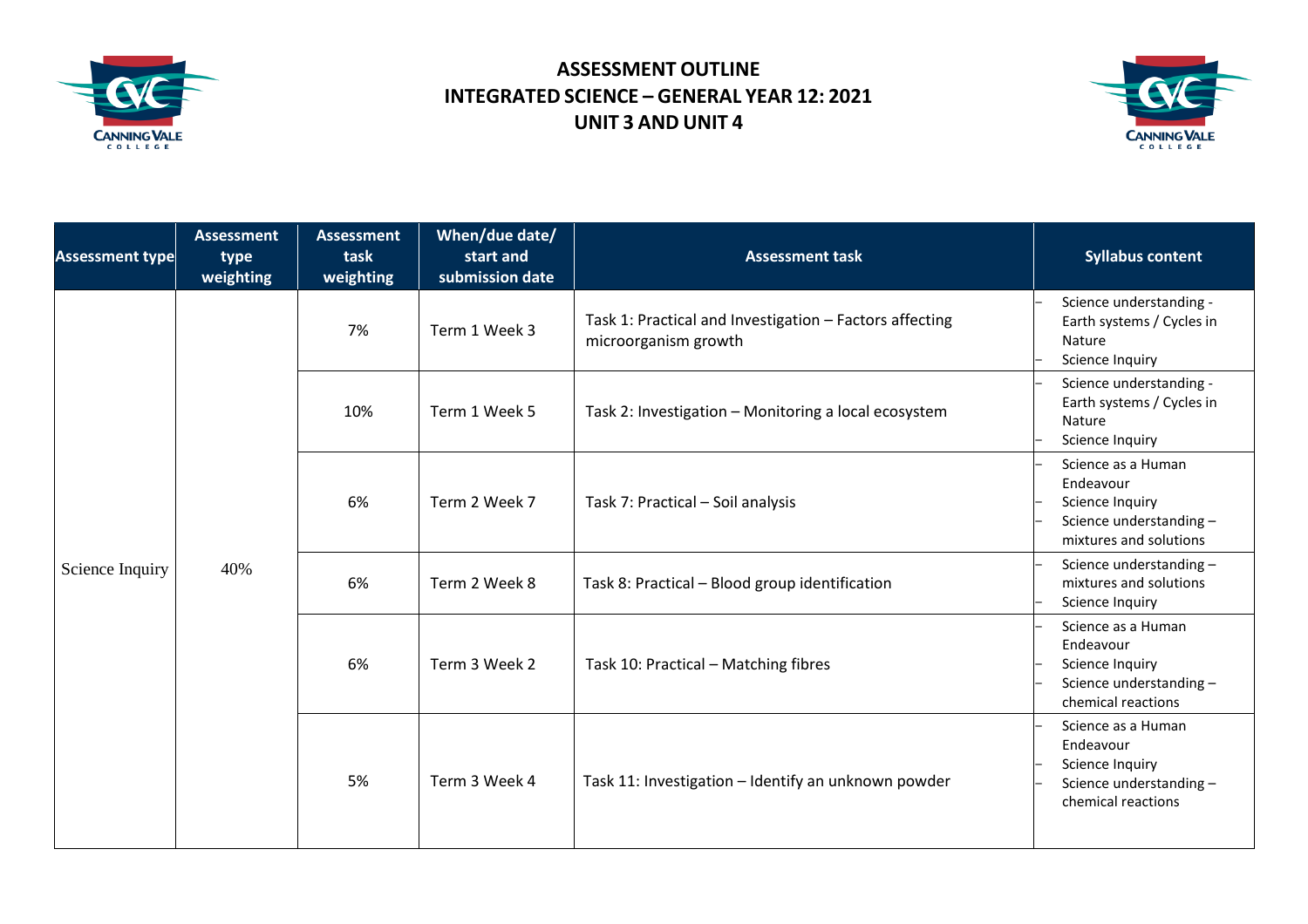

## **ASSESSMENT OUTLINE INTEGRATED SCIENCE – GENERAL YEAR 12: 2021 UNIT 3 AND UNIT 4**



| <b>Assessment type</b> | <b>Assessment</b><br>type<br>weighting | <b>Assessment</b><br>task<br>weighting | When/due date/<br>start and<br>submission date | <b>Assessment task</b>                                                          | <b>Syllabus content</b>                                                                                 |
|------------------------|----------------------------------------|----------------------------------------|------------------------------------------------|---------------------------------------------------------------------------------|---------------------------------------------------------------------------------------------------------|
| Science Inquiry        | 40%                                    | 7%                                     | Term 1 Week 3                                  | Task 1: Practical and Investigation - Factors affecting<br>microorganism growth | Science understanding -<br>Earth systems / Cycles in<br>Nature<br>Science Inquiry                       |
|                        |                                        | 10%                                    | Term 1 Week 5                                  | Task 2: Investigation - Monitoring a local ecosystem                            | Science understanding -<br>Earth systems / Cycles in<br>Nature<br>Science Inquiry                       |
|                        |                                        | 6%                                     | Term 2 Week 7                                  | Task 7: Practical - Soil analysis                                               | Science as a Human<br>Endeavour<br>Science Inquiry<br>Science understanding -<br>mixtures and solutions |
|                        |                                        | 6%                                     | Term 2 Week 8                                  | Task 8: Practical - Blood group identification                                  | Science understanding -<br>mixtures and solutions<br>Science Inquiry                                    |
|                        |                                        | 6%                                     | Term 3 Week 2                                  | Task 10: Practical - Matching fibres                                            | Science as a Human<br>Endeavour<br>Science Inquiry<br>Science understanding -<br>chemical reactions     |
|                        |                                        | 5%                                     | Term 3 Week 4                                  | Task 11: Investigation - Identify an unknown powder                             | Science as a Human<br>Endeavour<br>Science Inquiry<br>Science understanding -<br>chemical reactions     |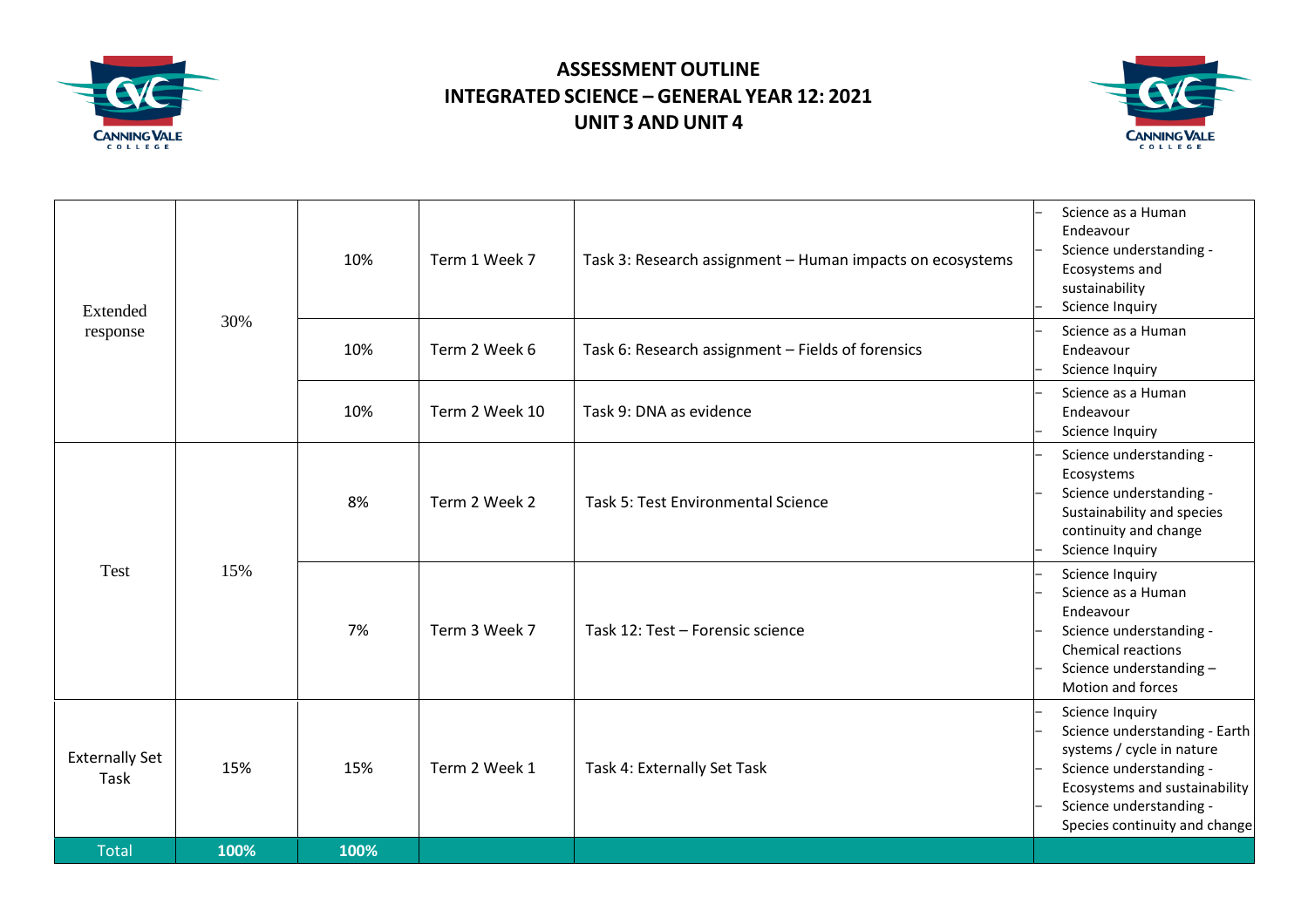

## **ASSESSMENT OUTLINE INTEGRATED SCIENCE – GENERAL YEAR 12: 2021 UNIT 3 AND UNIT 4**



| Extended                      |      | 10%  | Term 1 Week 7  | Task 3: Research assignment - Human impacts on ecosystems | Science as a Human<br>Endeavour<br>Science understanding -<br>Ecosystems and<br>sustainability<br>Science Inquiry                                                                                     |
|-------------------------------|------|------|----------------|-----------------------------------------------------------|-------------------------------------------------------------------------------------------------------------------------------------------------------------------------------------------------------|
| response                      | 30%  | 10%  | Term 2 Week 6  | Task 6: Research assignment - Fields of forensics         | Science as a Human<br>Endeavour<br>Science Inquiry                                                                                                                                                    |
|                               |      | 10%  | Term 2 Week 10 | Task 9: DNA as evidence                                   | Science as a Human<br>Endeavour<br>Science Inquiry                                                                                                                                                    |
|                               |      | 8%   | Term 2 Week 2  | Task 5: Test Environmental Science                        | Science understanding -<br>Ecosystems<br>Science understanding -<br>Sustainability and species<br>continuity and change<br>Science Inquiry                                                            |
| <b>Test</b>                   | 15%  | 7%   | Term 3 Week 7  | Task 12: Test - Forensic science                          | Science Inquiry<br>Science as a Human<br>Endeavour<br>Science understanding -<br>Chemical reactions<br>Science understanding -<br>Motion and forces                                                   |
| <b>Externally Set</b><br>Task | 15%  | 15%  | Term 2 Week 1  | Task 4: Externally Set Task                               | Science Inquiry<br>Science understanding - Earth<br>systems / cycle in nature<br>Science understanding -<br>Ecosystems and sustainability<br>Science understanding -<br>Species continuity and change |
| <b>Total</b>                  | 100% | 100% |                |                                                           |                                                                                                                                                                                                       |